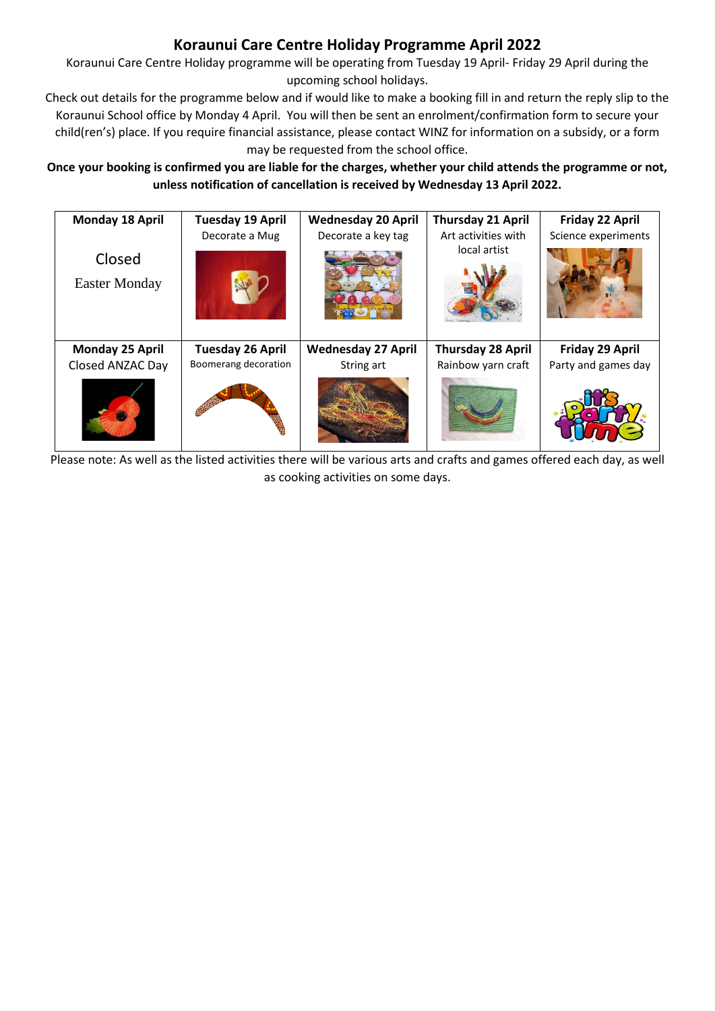## **Koraunui Care Centre Holiday Programme April 2022**

Koraunui Care Centre Holiday programme will be operating from Tuesday 19 April- Friday 29 April during the upcoming school holidays.

Check out details for the programme below and if would like to make a booking fill in and return the reply slip to the Koraunui School office by Monday 4 April. You will then be sent an enrolment/confirmation form to secure your child(ren's) place. If you require financial assistance, please contact WINZ for information on a subsidy, or a form may be requested from the school office.

**Once your booking is confirmed you are liable for the charges, whether your child attends the programme or not, unless notification of cancellation is received by Wednesday 13 April 2022.**

| <b>Monday 18 April</b> | <b>Tuesday 19 April</b> | <b>Wednesday 20 April</b> | <b>Thursday 21 April</b> | Friday 22 April     |
|------------------------|-------------------------|---------------------------|--------------------------|---------------------|
|                        | Decorate a Mug          | Decorate a key tag        | Art activities with      | Science experiments |
| Closed                 |                         |                           | local artist             |                     |
|                        |                         |                           |                          |                     |
| <b>Easter Monday</b>   |                         |                           |                          |                     |
| Monday 25 April        | <b>Tuesday 26 April</b> | <b>Wednesday 27 April</b> | <b>Thursday 28 April</b> | Friday 29 April     |
| Closed ANZAC Day       | Boomerang decoration    | String art                | Rainbow yarn craft       | Party and games day |
|                        |                         |                           |                          |                     |

Please note: As well as the listed activities there will be various arts and crafts and games offer[ed each da](http://ischoolsg.blogspot.com/2016/06/psle-surprise-party.html)y, as well as cooking activities on some days.